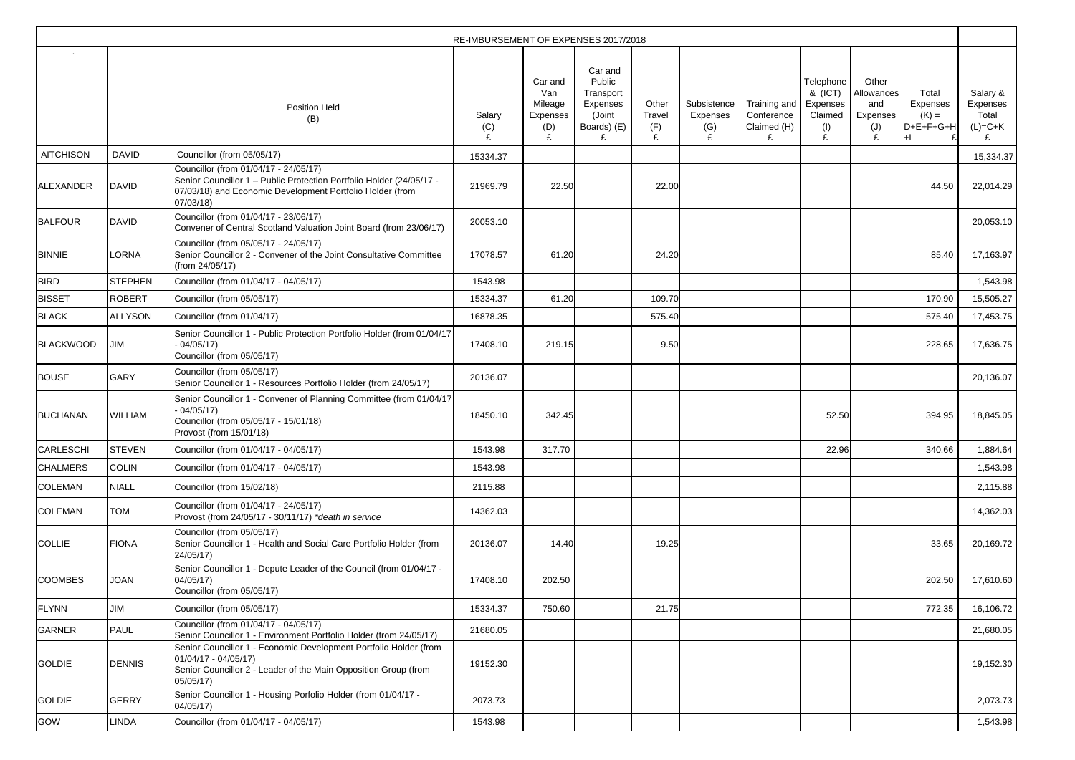|                  |                |                                                                                                                                                                                        | RE-IMBURSEMENT OF EXPENSES 2017/2018 |                                                   |                                                                     |                             |                                     |                                                |                                                         |                                                    |                                             |                                            |
|------------------|----------------|----------------------------------------------------------------------------------------------------------------------------------------------------------------------------------------|--------------------------------------|---------------------------------------------------|---------------------------------------------------------------------|-----------------------------|-------------------------------------|------------------------------------------------|---------------------------------------------------------|----------------------------------------------------|---------------------------------------------|--------------------------------------------|
|                  |                | <b>Position Held</b><br>(B)                                                                                                                                                            | Salary<br>(C)                        | Car and<br>Van<br>Mileage<br>Expenses<br>(D)<br>£ | Car and<br>Public<br>Transport<br>Expenses<br>(Joint<br>Boards) (E) | Other<br>Travel<br>(F)<br>£ | Subsistence<br>Expenses<br>(G)<br>£ | Training and<br>Conference<br>Claimed (H)<br>£ | Telephone<br>& (ICT)<br>Expenses<br>Claimed<br>(1)<br>£ | Other<br>Allowances<br>and<br>Expenses<br>(J)<br>£ | Total<br>Expenses<br>$(K) =$<br>$D+E+F+G+H$ | Salary &<br>Expenses<br>Total<br>$(L)=C+K$ |
| <b>AITCHISON</b> | <b>DAVID</b>   | Councillor (from 05/05/17)                                                                                                                                                             | 15334.37                             |                                                   |                                                                     |                             |                                     |                                                |                                                         |                                                    |                                             | 15,334.37                                  |
| <b>ALEXANDER</b> | <b>DAVID</b>   | Councillor (from 01/04/17 - 24/05/17)<br>Senior Councillor 1 - Public Protection Portfolio Holder (24/05/17 -<br>07/03/18) and Economic Development Portfolio Holder (from<br>07/03/18 | 21969.79                             | 22.50                                             |                                                                     | 22.00                       |                                     |                                                |                                                         |                                                    | 44.50                                       | 22,014.29                                  |
| <b>BALFOUR</b>   | <b>DAVID</b>   | Councillor (from 01/04/17 - 23/06/17)<br>Convener of Central Scotland Valuation Joint Board (from 23/06/17)                                                                            | 20053.10                             |                                                   |                                                                     |                             |                                     |                                                |                                                         |                                                    |                                             | 20,053.10                                  |
| <b>BINNIE</b>    | LORNA          | Councillor (from 05/05/17 - 24/05/17)<br>Senior Councillor 2 - Convener of the Joint Consultative Committee<br>(from 24/05/17)                                                         | 17078.57                             | 61.20                                             |                                                                     | 24.20                       |                                     |                                                |                                                         |                                                    | 85.40                                       | 17,163.97                                  |
| <b>BIRD</b>      | <b>STEPHEN</b> | Councillor (from 01/04/17 - 04/05/17)                                                                                                                                                  | 1543.98                              |                                                   |                                                                     |                             |                                     |                                                |                                                         |                                                    |                                             | 1,543.98                                   |
| <b>BISSET</b>    | <b>ROBERT</b>  | Councillor (from 05/05/17)                                                                                                                                                             | 15334.37                             | 61.20                                             |                                                                     | 109.70                      |                                     |                                                |                                                         |                                                    | 170.90                                      | 15,505.27                                  |
| <b>BLACK</b>     | <b>ALLYSON</b> | Councillor (from 01/04/17)                                                                                                                                                             | 16878.35                             |                                                   |                                                                     | 575.40                      |                                     |                                                |                                                         |                                                    | 575.40                                      | 17,453.75                                  |
| <b>BLACKWOOD</b> | <b>JIM</b>     | Senior Councillor 1 - Public Protection Portfolio Holder (from 01/04/17<br>04/05/17<br>Councillor (from 05/05/17)                                                                      | 17408.10                             | 219.15                                            |                                                                     | 9.50                        |                                     |                                                |                                                         |                                                    | 228.65                                      | 17,636.75                                  |
| <b>BOUSE</b>     | <b>GARY</b>    | Councillor (from 05/05/17)<br>Senior Councillor 1 - Resources Portfolio Holder (from 24/05/17)                                                                                         | 20136.07                             |                                                   |                                                                     |                             |                                     |                                                |                                                         |                                                    |                                             | 20,136.07                                  |
| <b>BUCHANAN</b>  | <b>WILLIAM</b> | Senior Councillor 1 - Convener of Planning Committee (from 01/04/17<br>04/05/17<br>Councillor (from 05/05/17 - 15/01/18)<br>Provost (from 15/01/18)                                    | 18450.10                             | 342.45                                            |                                                                     |                             |                                     |                                                | 52.50                                                   |                                                    | 394.95                                      | 18,845.05                                  |
| <b>CARLESCHI</b> | <b>STEVEN</b>  | Councillor (from 01/04/17 - 04/05/17)                                                                                                                                                  | 1543.98                              | 317.70                                            |                                                                     |                             |                                     |                                                | 22.96                                                   |                                                    | 340.66                                      | 1,884.64                                   |
| <b>CHALMERS</b>  | <b>COLIN</b>   | Councillor (from 01/04/17 - 04/05/17)                                                                                                                                                  | 1543.98                              |                                                   |                                                                     |                             |                                     |                                                |                                                         |                                                    |                                             | 1,543.98                                   |
| <b>COLEMAN</b>   | <b>NIALL</b>   | Councillor (from 15/02/18)                                                                                                                                                             | 2115.88                              |                                                   |                                                                     |                             |                                     |                                                |                                                         |                                                    |                                             | 2,115.88                                   |
| <b>COLEMAN</b>   | <b>TOM</b>     | Councillor (from 01/04/17 - 24/05/17)<br>Provost (from 24/05/17 - 30/11/17) *death in service                                                                                          | 14362.03                             |                                                   |                                                                     |                             |                                     |                                                |                                                         |                                                    |                                             | 14,362.03                                  |
| <b>COLLIE</b>    | <b>FIONA</b>   | Councillor (from 05/05/17)<br>Senior Councillor 1 - Health and Social Care Portfolio Holder (from<br>24/05/17                                                                          | 20136.07                             | 14.40                                             |                                                                     | 19.25                       |                                     |                                                |                                                         |                                                    | 33.65                                       | 20,169.72                                  |
| <b>COOMBES</b>   | <b>JOAN</b>    | Senior Councillor 1 - Depute Leader of the Council (from 01/04/17 -<br>04/05/17<br>Councillor (from 05/05/17)                                                                          | 17408.10                             | 202.50                                            |                                                                     |                             |                                     |                                                |                                                         |                                                    | 202.50                                      | 17,610.60                                  |
| <b>FLYNN</b>     | JIM            | Councillor (from 05/05/17)                                                                                                                                                             | 15334.37                             | 750.60                                            |                                                                     | 21.75                       |                                     |                                                |                                                         |                                                    | 772.35                                      | 16,106.72                                  |
| <b>GARNER</b>    | <b>PAUL</b>    | Councillor (from 01/04/17 - 04/05/17)<br>Senior Councillor 1 - Environment Portfolio Holder (from 24/05/17)                                                                            | 21680.05                             |                                                   |                                                                     |                             |                                     |                                                |                                                         |                                                    |                                             | 21,680.05                                  |
| <b>GOLDIE</b>    | <b>DENNIS</b>  | Senior Councillor 1 - Economic Development Portfolio Holder (from<br>$01/04/17 - 04/05/17$<br>Senior Councillor 2 - Leader of the Main Opposition Group (from<br>05/05/17)             | 19152.30                             |                                                   |                                                                     |                             |                                     |                                                |                                                         |                                                    |                                             | 19,152.30                                  |
| <b>GOLDIE</b>    | <b>GERRY</b>   | Senior Councillor 1 - Housing Porfolio Holder (from 01/04/17 -<br>04/05/17)                                                                                                            | 2073.73                              |                                                   |                                                                     |                             |                                     |                                                |                                                         |                                                    |                                             | 2,073.73                                   |
| GOW              | <b>INDA</b>    | Councillor (from 01/04/17 - 04/05/17)                                                                                                                                                  | 1543.98                              |                                                   |                                                                     |                             |                                     |                                                |                                                         |                                                    |                                             | 1,543.98                                   |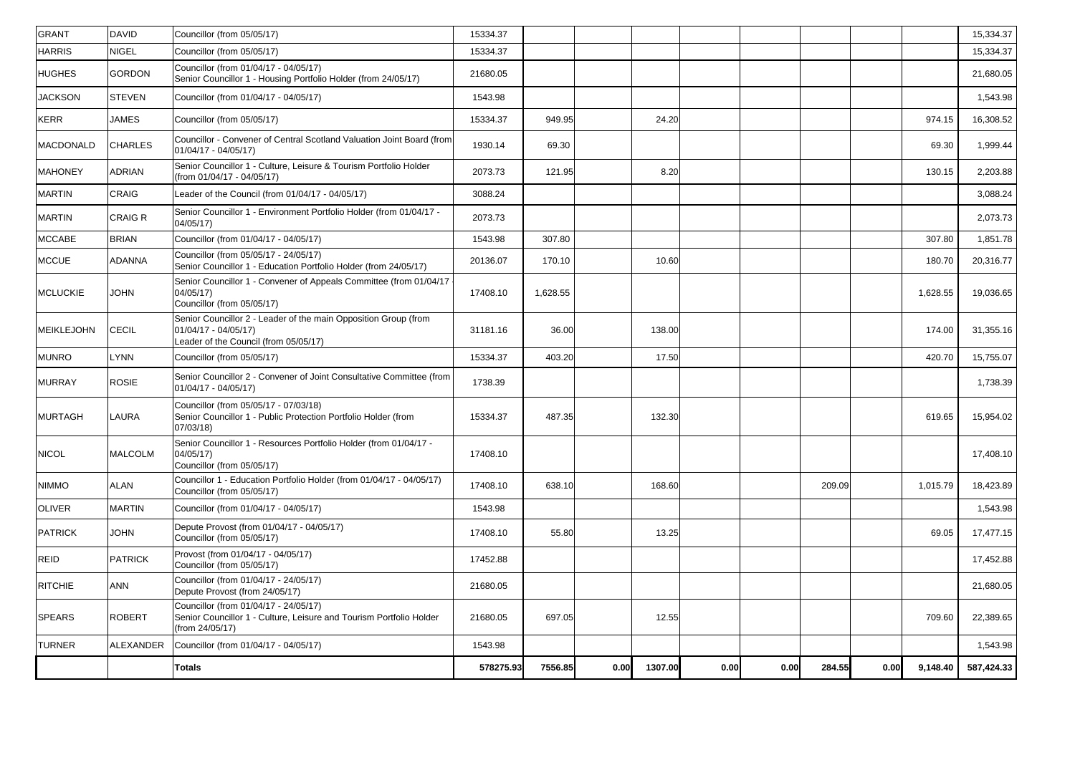|                   |                  | <b>Totals</b>                                                                                                                     | 578275.93 | 7556.85  | 0.00 | 1307.00 | 0.00 | 0.00 | 284.55 | 0.00 | 9,148.40 | 587,424.33 |
|-------------------|------------------|-----------------------------------------------------------------------------------------------------------------------------------|-----------|----------|------|---------|------|------|--------|------|----------|------------|
| <b>TURNER</b>     | <b>ALEXANDER</b> | Councillor (from 01/04/17 - 04/05/17)                                                                                             | 1543.98   |          |      |         |      |      |        |      |          | 1,543.98   |
| <b>SPEARS</b>     | <b>ROBERT</b>    | Councillor (from 01/04/17 - 24/05/17)<br>Senior Councillor 1 - Culture, Leisure and Tourism Portfolio Holder<br>(from 24/05/17)   | 21680.05  | 697.05   |      | 12.55   |      |      |        |      | 709.60   | 22,389.65  |
| <b>RITCHIE</b>    | <b>ANN</b>       | Councillor (from 01/04/17 - 24/05/17)<br>Depute Provost (from 24/05/17)                                                           | 21680.05  |          |      |         |      |      |        |      |          | 21,680.05  |
| REID              | <b>PATRICK</b>   | Provost (from 01/04/17 - 04/05/17)<br>Councillor (from 05/05/17)                                                                  | 17452.88  |          |      |         |      |      |        |      |          | 17,452.88  |
| PATRICK           | <b>JOHN</b>      | Depute Provost (from 01/04/17 - 04/05/17)<br>Councillor (from 05/05/17)                                                           | 17408.10  | 55.80    |      | 13.25   |      |      |        |      | 69.05    | 17,477.15  |
| <b>OLIVER</b>     | <b>MARTIN</b>    | Councillor (from 01/04/17 - 04/05/17)                                                                                             | 1543.98   |          |      |         |      |      |        |      |          | 1,543.98   |
| <b>NIMMO</b>      | <b>ALAN</b>      | Councillor 1 - Education Portfolio Holder (from 01/04/17 - 04/05/17)<br>Councillor (from 05/05/17)                                | 17408.10  | 638.10   |      | 168.60  |      |      | 209.09 |      | 1,015.79 | 18,423.89  |
| <b>NICOL</b>      | <b>MALCOLM</b>   | Senior Councillor 1 - Resources Portfolio Holder (from 01/04/17 -<br>04/05/17)<br>Councillor (from 05/05/17)                      | 17408.10  |          |      |         |      |      |        |      |          | 17,408.10  |
| <b>MURTAGH</b>    | <b>LAURA</b>     | Councillor (from 05/05/17 - 07/03/18)<br>Senior Councillor 1 - Public Protection Portfolio Holder (from<br>07/03/18)              | 15334.37  | 487.35   |      | 132.30  |      |      |        |      | 619.65   | 15,954.02  |
| <b>MURRAY</b>     | <b>ROSIE</b>     | Senior Councillor 2 - Convener of Joint Consultative Committee (from<br>$01/04/17 - 04/05/17$                                     | 1738.39   |          |      |         |      |      |        |      |          | 1,738.39   |
| <b>MUNRO</b>      | <b>LYNN</b>      | Councillor (from 05/05/17)                                                                                                        | 15334.37  | 403.20   |      | 17.50   |      |      |        |      | 420.70   | 15,755.07  |
| <b>MEIKLEJOHN</b> | <b>CECIL</b>     | Senior Councillor 2 - Leader of the main Opposition Group (from<br>$01/04/17 - 04/05/17$<br>Leader of the Council (from 05/05/17) | 31181.16  | 36.00    |      | 138.00  |      |      |        |      | 174.00   | 31,355.16  |
| <b>MCLUCKIE</b>   | <b>JOHN</b>      | Senior Councillor 1 - Convener of Appeals Committee (from 01/04/17<br>04/05/17<br>Councillor (from 05/05/17)                      | 17408.10  | 1,628.55 |      |         |      |      |        |      | 1,628.55 | 19,036.65  |
| <b>MCCUE</b>      | <b>ADANNA</b>    | Councillor (from 05/05/17 - 24/05/17)<br>Senior Councillor 1 - Education Portfolio Holder (from 24/05/17)                         | 20136.07  | 170.10   |      | 10.60   |      |      |        |      | 180.70   | 20,316.77  |
| <b>MCCABE</b>     | <b>BRIAN</b>     | Councillor (from 01/04/17 - 04/05/17)                                                                                             | 1543.98   | 307.80   |      |         |      |      |        |      | 307.80   | 1,851.78   |
| <b>MARTIN</b>     | <b>CRAIG R</b>   | Senior Councillor 1 - Environment Portfolio Holder (from 01/04/17 -<br>04/05/17)                                                  | 2073.73   |          |      |         |      |      |        |      |          | 2,073.73   |
| <b>MARTIN</b>     | <b>CRAIG</b>     | Leader of the Council (from 01/04/17 - 04/05/17)                                                                                  | 3088.24   |          |      |         |      |      |        |      |          | 3,088.24   |
| <b>MAHONEY</b>    | <b>ADRIAN</b>    | Senior Councillor 1 - Culture, Leisure & Tourism Portfolio Holder<br>(from 01/04/17 - 04/05/17)                                   | 2073.73   | 121.95   |      | 8.20    |      |      |        |      | 130.15   | 2,203.88   |
| <b>MACDONALD</b>  | <b>CHARLES</b>   | Councillor - Convener of Central Scotland Valuation Joint Board (from<br>$01/04/17 - 04/05/17$                                    | 1930.14   | 69.30    |      |         |      |      |        |      | 69.30    | 1,999.44   |
| <b>KERR</b>       | <b>JAMES</b>     | Councillor (from 05/05/17)                                                                                                        | 15334.37  | 949.95   |      | 24.20   |      |      |        |      | 974.15   | 16,308.52  |
| <b>JACKSON</b>    | <b>STEVEN</b>    | Councillor (from 01/04/17 - 04/05/17)                                                                                             | 1543.98   |          |      |         |      |      |        |      |          | 1,543.98   |
| <b>HUGHES</b>     | <b>GORDON</b>    | Councillor (from 01/04/17 - 04/05/17)<br>Senior Councillor 1 - Housing Portfolio Holder (from 24/05/17)                           | 21680.05  |          |      |         |      |      |        |      |          | 21,680.05  |
| <b>HARRIS</b>     | <b>NIGEL</b>     | Councillor (from 05/05/17)                                                                                                        | 15334.37  |          |      |         |      |      |        |      |          | 15,334.37  |
| <b>GRANT</b>      | <b>DAVID</b>     | Councillor (from 05/05/17)                                                                                                        | 15334.37  |          |      |         |      |      |        |      |          | 15,334.37  |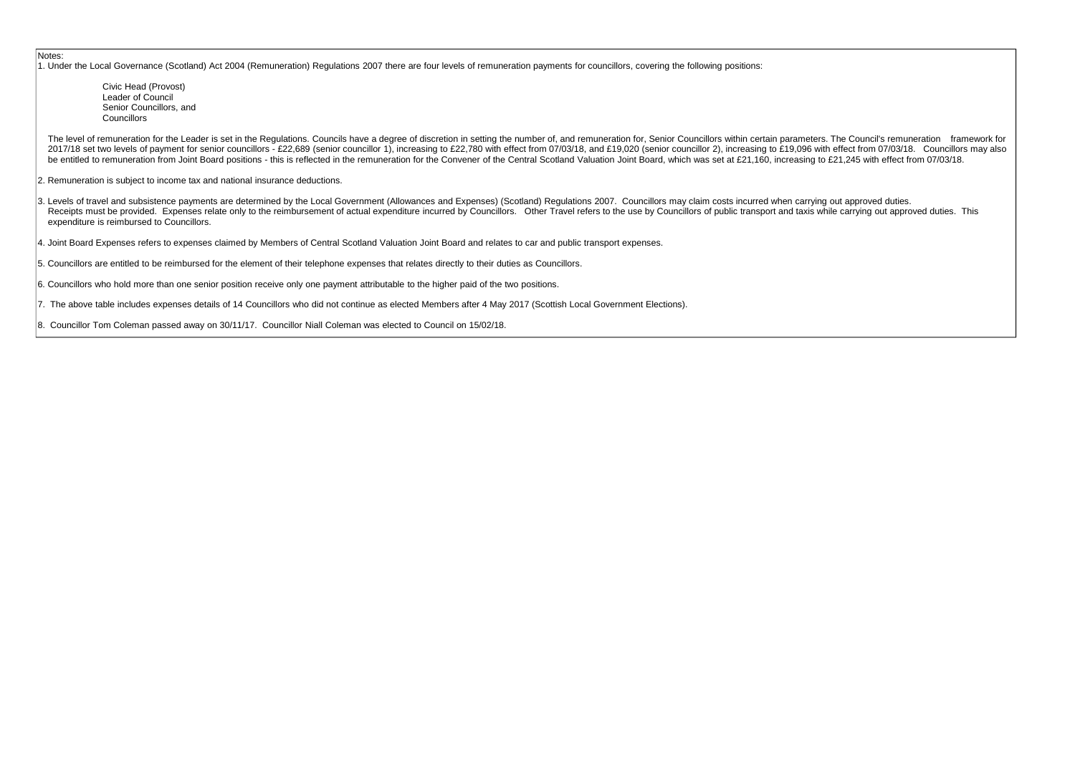Civic Head (Provost) Leader of Council Senior Councillors, and **Councillors** 

The level of remuneration for the Leader is set in the Regulations. Councils have a degree of discretion in setting the number of, and remuneration for, Senior Councillors within certain parameters. The Council's remunerat 2017/18 set two levels of payment for senior councillors - £22.689 (senior councillor 1), increasing to £22.780 with effect from 07/03/18, and £19.020 (senior councillor 2), increasing to £19.096 with effect from 07/03/18. be entitled to remuneration from Joint Board positions - this is reflected in the remuneration for the Convener of the Central Scotland Valuation Joint Board, which was set at £21,160, increasing to £21,245 with effect fro

Notes:

1. Under the Local Governance (Scotland) Act 2004 (Remuneration) Regulations 2007 there are four levels of remuneration payments for councillors, covering the following positions:

2. Remuneration is subject to income tax and national insurance deductions.

3. Levels of travel and subsistence payments are determined by the Local Government (Allowances and Expenses) (Scotland) Regulations 2007. Councillors may claim costs incurred when carrying out approved duties. Receipts must be provided. Expenses relate only to the reimbursement of actual expenditure incurred by Councillors. Other Travel refers to the use by Councillors of public transport and taxis while carrying out approved du expenditure is reimbursed to Councillors.

4. Joint Board Expenses refers to expenses claimed by Members of Central Scotland Valuation Joint Board and relates to car and public transport expenses.

5. Councillors are entitled to be reimbursed for the element of their telephone expenses that relates directly to their duties as Councillors.

6. Councillors who hold more than one senior position receive only one payment attributable to the higher paid of the two positions.

7. The above table includes expenses details of 14 Councillors who did not continue as elected Members after 4 May 2017 (Scottish Local Government Elections).

8. Councillor Tom Coleman passed away on 30/11/17. Councillor Niall Coleman was elected to Council on 15/02/18.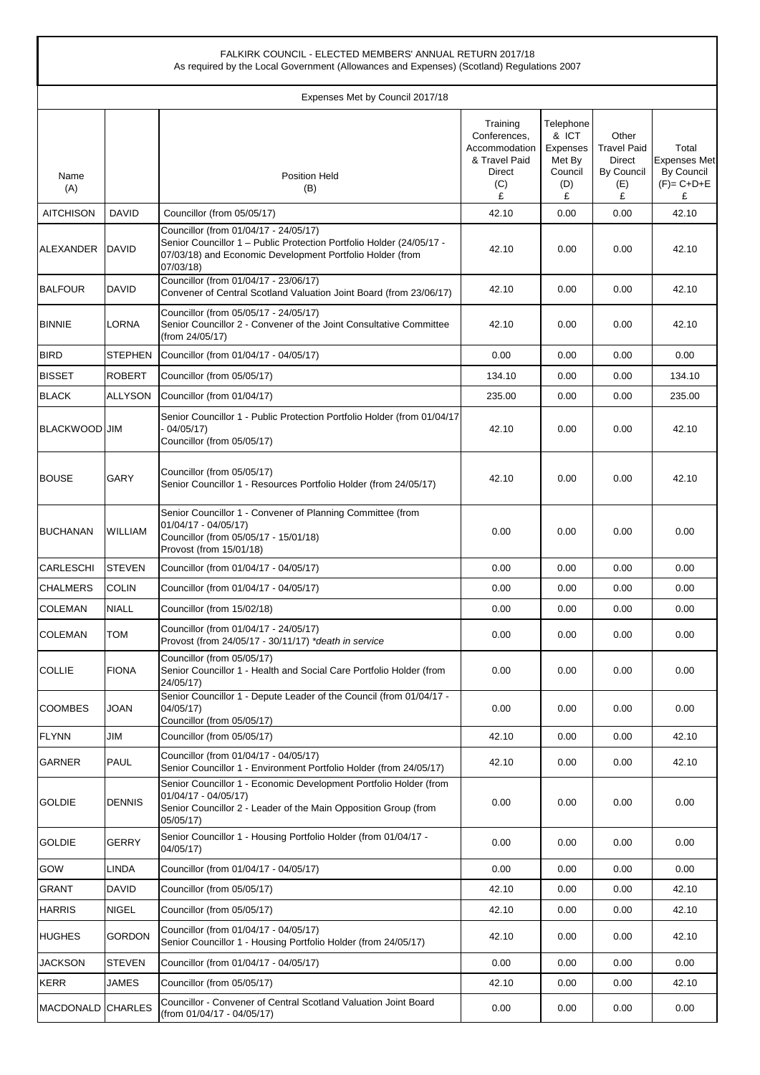|                   |                | FALKIRK COUNCIL - ELECTED MEMBERS' ANNUAL RETURN 2017/18<br>As required by the Local Government (Allowances and Expenses) (Scotland) Regulations 2007                                   |                                                                                  |                                                                 |                                                                 |                                                                 |
|-------------------|----------------|-----------------------------------------------------------------------------------------------------------------------------------------------------------------------------------------|----------------------------------------------------------------------------------|-----------------------------------------------------------------|-----------------------------------------------------------------|-----------------------------------------------------------------|
|                   |                | Expenses Met by Council 2017/18                                                                                                                                                         |                                                                                  |                                                                 |                                                                 |                                                                 |
| Name<br>(A)       |                | <b>Position Held</b><br>(B)                                                                                                                                                             | Training<br>Conferences,<br>Accommodation<br>& Travel Paid<br>Direct<br>(C)<br>£ | Telephone<br>& ICT<br>Expenses<br>Met By<br>Council<br>(D)<br>£ | Other<br><b>Travel Paid</b><br>Direct<br>By Council<br>(E)<br>£ | Total<br><b>Expenses Met</b><br>By Council<br>$(F)= C+D+E$<br>£ |
| AITCHISON         | DAVID          | Councillor (from 05/05/17)                                                                                                                                                              | 42.10                                                                            | 0.00                                                            | 0.00                                                            | 42.10                                                           |
| ALEXANDER         | <b>DAVID</b>   | Councillor (from 01/04/17 - 24/05/17)<br>Senior Councillor 1 - Public Protection Portfolio Holder (24/05/17 -<br>07/03/18) and Economic Development Portfolio Holder (from<br>07/03/18) | 42.10                                                                            | 0.00                                                            | 0.00                                                            | 42.10                                                           |
| <b>BALFOUR</b>    | DAVID          | Councillor (from 01/04/17 - 23/06/17)<br>Convener of Central Scotland Valuation Joint Board (from 23/06/17)                                                                             | 42.10                                                                            | 0.00                                                            | 0.00                                                            | 42.10                                                           |
| <b>BINNIE</b>     | LORNA          | Councillor (from 05/05/17 - 24/05/17)<br>Senior Councillor 2 - Convener of the Joint Consultative Committee<br>(from 24/05/17)                                                          | 42.10                                                                            | 0.00                                                            | 0.00                                                            | 42.10                                                           |
| <b>BIRD</b>       | <b>STEPHEN</b> | Councillor (from 01/04/17 - 04/05/17)                                                                                                                                                   | 0.00                                                                             | 0.00                                                            | 0.00                                                            | 0.00                                                            |
| <b>BISSET</b>     | <b>ROBERT</b>  | Councillor (from 05/05/17)                                                                                                                                                              | 134.10                                                                           | 0.00                                                            | 0.00                                                            | 134.10                                                          |
| <b>BLACK</b>      | ALLYSON        | Councillor (from 01/04/17)                                                                                                                                                              | 235.00                                                                           | 0.00                                                            | 0.00                                                            | 235.00                                                          |
| BLACKWOOD JIM     |                | Senior Councillor 1 - Public Protection Portfolio Holder (from 01/04/17<br>$-04/05/17$<br>Councillor (from 05/05/17)                                                                    | 42.10                                                                            | 0.00                                                            | 0.00                                                            | 42.10                                                           |
| <b>BOUSE</b>      | GARY           | Councillor (from 05/05/17)<br>Senior Councillor 1 - Resources Portfolio Holder (from 24/05/17)                                                                                          | 42.10                                                                            | 0.00                                                            | 0.00                                                            | 42.10                                                           |
| <b>BUCHANAN</b>   | <b>WILLIAM</b> | Senior Councillor 1 - Convener of Planning Committee (from<br>01/04/17 - 04/05/17)<br>Councillor (from 05/05/17 - 15/01/18)<br>Provost (from 15/01/18)                                  | 0.00                                                                             | 0.00                                                            | 0.00                                                            | 0.00                                                            |
| <b>CARLESCHI</b>  | <b>STEVEN</b>  | Councillor (from 01/04/17 - 04/05/17)                                                                                                                                                   | 0.00                                                                             | 0.00                                                            | 0.00                                                            | 0.00                                                            |
| <b>CHALMERS</b>   | <b>COLIN</b>   | Councillor (from 01/04/17 - 04/05/17)                                                                                                                                                   | 0.00                                                                             | 0.00                                                            | 0.00                                                            | 0.00                                                            |
| <b>COLEMAN</b>    | <b>NIALL</b>   | Councillor (from 15/02/18)                                                                                                                                                              | 0.00                                                                             | 0.00                                                            | 0.00                                                            | 0.00                                                            |
| <b>COLEMAN</b>    | TOM            | Councillor (from 01/04/17 - 24/05/17)<br>Provost (from 24/05/17 - 30/11/17) *death in service                                                                                           | 0.00                                                                             | 0.00                                                            | 0.00                                                            | 0.00                                                            |
| <b>COLLIE</b>     | <b>FIONA</b>   | Councillor (from 05/05/17)<br>Senior Councillor 1 - Health and Social Care Portfolio Holder (from<br>24/05/17)                                                                          | 0.00                                                                             | 0.00                                                            | 0.00                                                            | 0.00                                                            |
| <b>COOMBES</b>    | JOAN           | Senior Councillor 1 - Depute Leader of the Council (from 01/04/17 -<br>04/05/17)<br>Councillor (from 05/05/17)                                                                          | 0.00                                                                             | 0.00                                                            | 0.00                                                            | 0.00                                                            |
| <b>FLYNN</b>      | JIM            | Councillor (from 05/05/17)                                                                                                                                                              | 42.10                                                                            | 0.00                                                            | 0.00                                                            | 42.10                                                           |
| <b>GARNER</b>     | PAUL           | Councillor (from 01/04/17 - 04/05/17)<br>Senior Councillor 1 - Environment Portfolio Holder (from 24/05/17)                                                                             | 42.10                                                                            | 0.00                                                            | 0.00                                                            | 42.10                                                           |
| <b>GOLDIE</b>     | <b>DENNIS</b>  | Senior Councillor 1 - Economic Development Portfolio Holder (from<br>$01/04/17 - 04/05/17$<br>Senior Councillor 2 - Leader of the Main Opposition Group (from<br>05/05/17)              | 0.00                                                                             | 0.00                                                            | 0.00                                                            | 0.00                                                            |
| <b>GOLDIE</b>     | <b>GERRY</b>   | Senior Councillor 1 - Housing Portfolio Holder (from 01/04/17 -<br>04/05/17)                                                                                                            | 0.00                                                                             | 0.00                                                            | 0.00                                                            | 0.00                                                            |
| GOW               | LINDA          | Councillor (from 01/04/17 - 04/05/17)                                                                                                                                                   | 0.00                                                                             | 0.00                                                            | 0.00                                                            | 0.00                                                            |
| <b>GRANT</b>      | <b>DAVID</b>   | Councillor (from 05/05/17)                                                                                                                                                              | 42.10                                                                            | 0.00                                                            | 0.00                                                            | 42.10                                                           |
| <b>HARRIS</b>     | NIGEL          | Councillor (from 05/05/17)                                                                                                                                                              | 42.10                                                                            | 0.00                                                            | 0.00                                                            | 42.10                                                           |
| <b>HUGHES</b>     | <b>GORDON</b>  | Councillor (from 01/04/17 - 04/05/17)<br>Senior Councillor 1 - Housing Portfolio Holder (from 24/05/17)                                                                                 | 42.10                                                                            | 0.00                                                            | 0.00                                                            | 42.10                                                           |
| <b>JACKSON</b>    | <b>STEVEN</b>  | Councillor (from 01/04/17 - 04/05/17)                                                                                                                                                   | 0.00                                                                             | 0.00                                                            | 0.00                                                            | 0.00                                                            |
| <b>KERR</b>       | JAMES          | Councillor (from 05/05/17)                                                                                                                                                              | 42.10                                                                            | 0.00                                                            | 0.00                                                            | 42.10                                                           |
| MACDONALD CHARLES |                | Councillor - Convener of Central Scotland Valuation Joint Board<br>(from 01/04/17 - 04/05/17)                                                                                           | 0.00                                                                             | 0.00                                                            | 0.00                                                            | 0.00                                                            |

 $\overline{1}$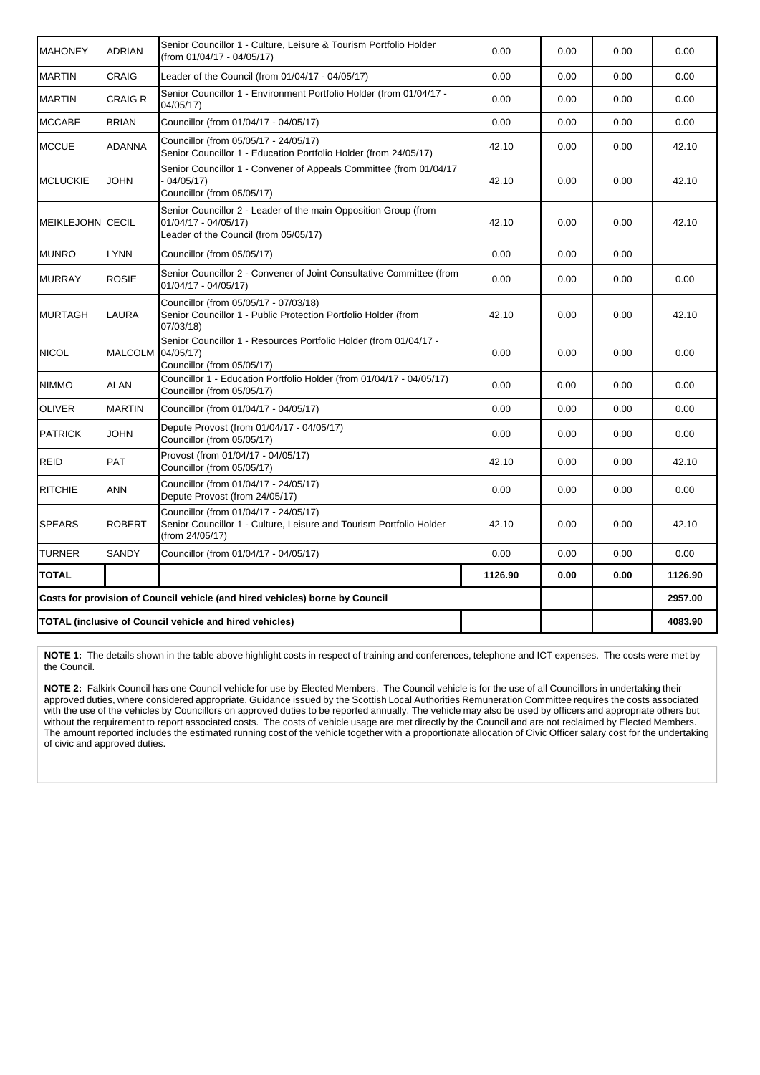| <b>MAHONEY</b>                                                 | <b>ADRIAN</b>  | Senior Councillor 1 - Culture, Leisure & Tourism Portfolio Holder<br>(from 01/04/17 - 04/05/17)                                  | 0.00    | 0.00 | 0.00 | 0.00    |
|----------------------------------------------------------------|----------------|----------------------------------------------------------------------------------------------------------------------------------|---------|------|------|---------|
| <b>MARTIN</b>                                                  | <b>CRAIG</b>   | Leader of the Council (from 01/04/17 - 04/05/17)                                                                                 | 0.00    | 0.00 | 0.00 | 0.00    |
| <b>MARTIN</b>                                                  | <b>CRAIG R</b> | Senior Councillor 1 - Environment Portfolio Holder (from 01/04/17 -<br>04/05/17)                                                 | 0.00    | 0.00 | 0.00 | 0.00    |
| <b>MCCABE</b>                                                  | <b>BRIAN</b>   | Councillor (from 01/04/17 - 04/05/17)                                                                                            | 0.00    | 0.00 | 0.00 | 0.00    |
| <b>MCCUE</b>                                                   | <b>ADANNA</b>  | Councillor (from 05/05/17 - 24/05/17)<br>Senior Councillor 1 - Education Portfolio Holder (from 24/05/17)                        | 42.10   | 0.00 | 0.00 | 42.10   |
| <b>MCLUCKIE</b>                                                | <b>JOHN</b>    | Senior Councillor 1 - Convener of Appeals Committee (from 01/04/17<br>$-04/05/17$<br>Councillor (from 05/05/17)                  | 42.10   | 0.00 | 0.00 | 42.10   |
| <b>MEIKLEJOHN CECIL</b>                                        |                | Senior Councillor 2 - Leader of the main Opposition Group (from<br>01/04/17 - 04/05/17)<br>Leader of the Council (from 05/05/17) | 42.10   | 0.00 | 0.00 | 42.10   |
| <b>MUNRO</b>                                                   | <b>LYNN</b>    | Councillor (from 05/05/17)                                                                                                       | 0.00    | 0.00 | 0.00 |         |
| <b>MURRAY</b>                                                  | <b>ROSIE</b>   | Senior Councillor 2 - Convener of Joint Consultative Committee (from<br>01/04/17 - 04/05/17)                                     | 0.00    | 0.00 | 0.00 | 0.00    |
| <b>MURTAGH</b>                                                 | LAURA          | Councillor (from 05/05/17 - 07/03/18)<br>Senior Councillor 1 - Public Protection Portfolio Holder (from<br>07/03/18)             | 42.10   | 0.00 | 0.00 | 42.10   |
| <b>NICOL</b>                                                   | <b>MALCOLM</b> | Senior Councillor 1 - Resources Portfolio Holder (from 01/04/17 -<br>04/05/17)<br>Councillor (from 05/05/17)                     | 0.00    | 0.00 | 0.00 | 0.00    |
| <b>NIMMO</b>                                                   | <b>ALAN</b>    | Councillor 1 - Education Portfolio Holder (from 01/04/17 - 04/05/17)<br>Councillor (from 05/05/17)                               | 0.00    | 0.00 | 0.00 | 0.00    |
| <b>OLIVER</b>                                                  | <b>MARTIN</b>  | Councillor (from 01/04/17 - 04/05/17)                                                                                            | 0.00    | 0.00 | 0.00 | 0.00    |
| <b>PATRICK</b>                                                 | <b>JOHN</b>    | Depute Provost (from 01/04/17 - 04/05/17)<br>Councillor (from 05/05/17)                                                          | 0.00    | 0.00 | 0.00 | 0.00    |
| <b>REID</b>                                                    | <b>PAT</b>     | Provost (from 01/04/17 - 04/05/17)<br>Councillor (from 05/05/17)                                                                 | 42.10   | 0.00 | 0.00 | 42.10   |
| <b>RITCHIE</b>                                                 | <b>ANN</b>     | Councillor (from 01/04/17 - 24/05/17)<br>Depute Provost (from 24/05/17)                                                          | 0.00    | 0.00 | 0.00 | 0.00    |
| <b>SPEARS</b>                                                  | <b>ROBERT</b>  | Councillor (from 01/04/17 - 24/05/17)<br>Senior Councillor 1 - Culture, Leisure and Tourism Portfolio Holder<br>(from 24/05/17)  | 42.10   | 0.00 | 0.00 | 42.10   |
| <b>TURNER</b>                                                  | <b>SANDY</b>   | Councillor (from 01/04/17 - 04/05/17)                                                                                            | 0.00    | 0.00 | 0.00 | 0.00    |
| <b>TOTAL</b>                                                   |                |                                                                                                                                  | 1126.90 | 0.00 | 0.00 | 1126.90 |
|                                                                |                | Costs for provision of Council vehicle (and hired vehicles) borne by Council                                                     |         |      |      | 2957.00 |
| <b>TOTAL (inclusive of Council vehicle and hired vehicles)</b> |                |                                                                                                                                  |         |      |      | 4083.90 |

**NOTE 1:** The details shown in the table above highlight costs in respect of training and conferences, telephone and ICT expenses. The costs were met by the Council.

**NOTE 2:** Falkirk Council has one Council vehicle for use by Elected Members. The Council vehicle is for the use of all Councillors in undertaking their approved duties, where considered appropriate. Guidance issued by the Scottish Local Authorities Remuneration Committee requires the costs associated with the use of the vehicles by Councillors on approved duties to be reported annually. The vehicle may also be used by officers and appropriate others but without the requirement to report associated costs. The costs of vehicle usage are met directly by the Council and are not reclaimed by Elected Members. The amount reported includes the estimated running cost of the vehicle together with a proportionate allocation of Civic Officer salary cost for the undertaking of civic and approved duties.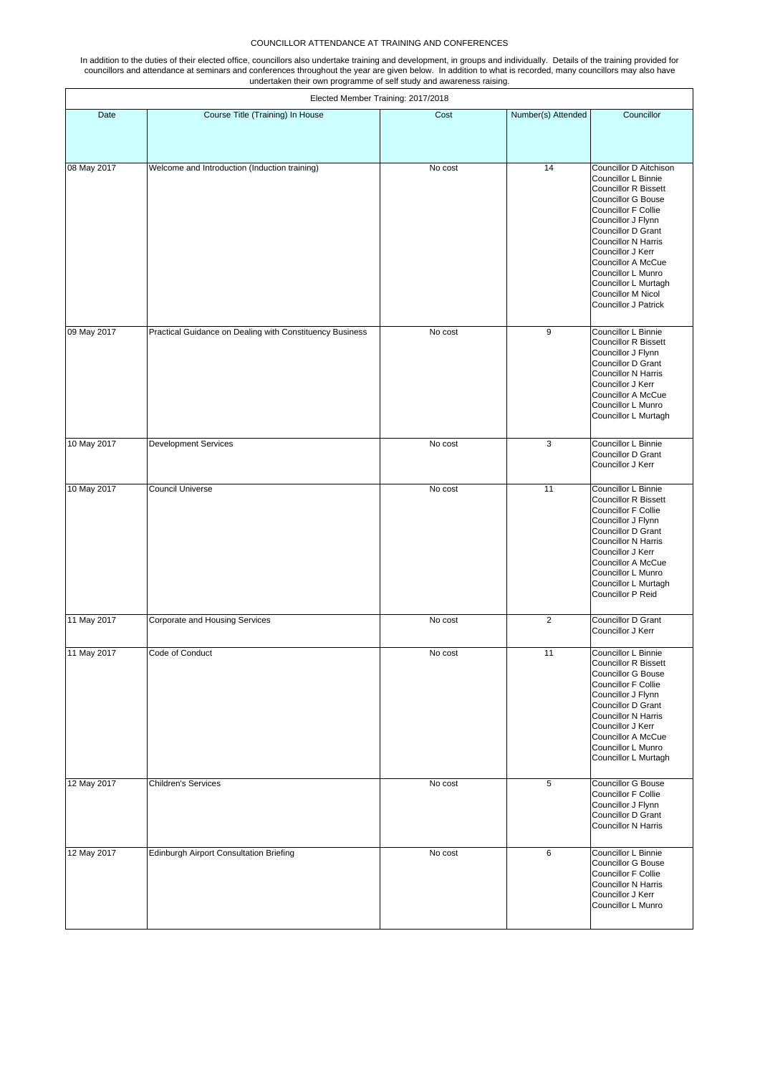## COUNCILLOR ATTENDANCE AT TRAINING AND CONFERENCES

In addition to the duties of their elected office, councillors also undertake training and development, in groups and individually. Details of the training provided for councillors and attendance at seminars and conferences throughout the year are given below. In addition to what is recorded, many councillors may also have undertaken their own programme of self study and awareness raising.

| Elected Member Training: 2017/2018 |                                                          |         |                    |                                                                                                                                                                                                                                                                                                                                                                 |  |  |
|------------------------------------|----------------------------------------------------------|---------|--------------------|-----------------------------------------------------------------------------------------------------------------------------------------------------------------------------------------------------------------------------------------------------------------------------------------------------------------------------------------------------------------|--|--|
| Date                               | Course Title (Training) In House                         | Cost    | Number(s) Attended | Councillor                                                                                                                                                                                                                                                                                                                                                      |  |  |
| 08 May 2017                        | Welcome and Introduction (Induction training)            | No cost | 14                 | Councillor D Aitchison<br>Councillor L Binnie<br><b>Councillor R Bissett</b><br><b>Councillor G Bouse</b><br><b>Councillor F Collie</b><br>Councillor J Flynn<br>Councillor D Grant<br><b>Councillor N Harris</b><br>Councillor J Kerr<br>Councillor A McCue<br>Councillor L Munro<br>Councillor L Murtagh<br>Councillor M Nicol<br><b>Councillor J Patrick</b> |  |  |
| 09 May 2017                        | Practical Guidance on Dealing with Constituency Business | No cost | 9                  | Councillor L Binnie<br><b>Councillor R Bissett</b><br>Councillor J Flynn<br>Councillor D Grant<br><b>Councillor N Harris</b><br>Councillor J Kerr<br><b>Councillor A McCue</b><br>Councillor L Munro<br>Councillor L Murtagh                                                                                                                                    |  |  |
| 10 May 2017                        | <b>Development Services</b>                              | No cost | 3                  | Councillor L Binnie<br>Councillor D Grant<br>Councillor J Kerr                                                                                                                                                                                                                                                                                                  |  |  |
| 10 May 2017                        | Council Universe                                         | No cost | 11                 | Councillor L Binnie<br><b>Councillor R Bissett</b><br><b>Councillor F Collie</b><br>Councillor J Flynn<br>Councillor D Grant<br><b>Councillor N Harris</b><br>Councillor J Kerr<br><b>Councillor A McCue</b><br>Councillor L Munro<br>Councillor L Murtagh<br>Councillor P Reid                                                                                 |  |  |
| 11 May 2017                        | Corporate and Housing Services                           | No cost | $\overline{2}$     | Councillor D Grant<br>Councillor J Kerr                                                                                                                                                                                                                                                                                                                         |  |  |
| 11 May 2017                        | Code of Conduct                                          | No cost | 11                 | Councillor L Binnie<br><b>Councillor R Bissett</b><br><b>Councillor G Bouse</b><br><b>Councillor F Collie</b><br>Councillor J Flynn<br>Councillor D Grant<br><b>Councillor N Harris</b><br>Councillor J Kerr<br>Councillor A McCue<br>Councillor L Munro<br>Councillor L Murtagh                                                                                |  |  |
| 12 May 2017                        | <b>Children's Services</b>                               | No cost | 5                  | Councillor G Bouse<br><b>Councillor F Collie</b><br>Councillor J Flynn<br>Councillor D Grant<br><b>Councillor N Harris</b>                                                                                                                                                                                                                                      |  |  |
| 12 May 2017                        | <b>Edinburgh Airport Consultation Briefing</b>           | No cost | 6                  | Councillor L Binnie<br><b>Councillor G Bouse</b><br>Councillor F Collie<br><b>Councillor N Harris</b><br>Councillor J Kerr<br>Councillor L Munro                                                                                                                                                                                                                |  |  |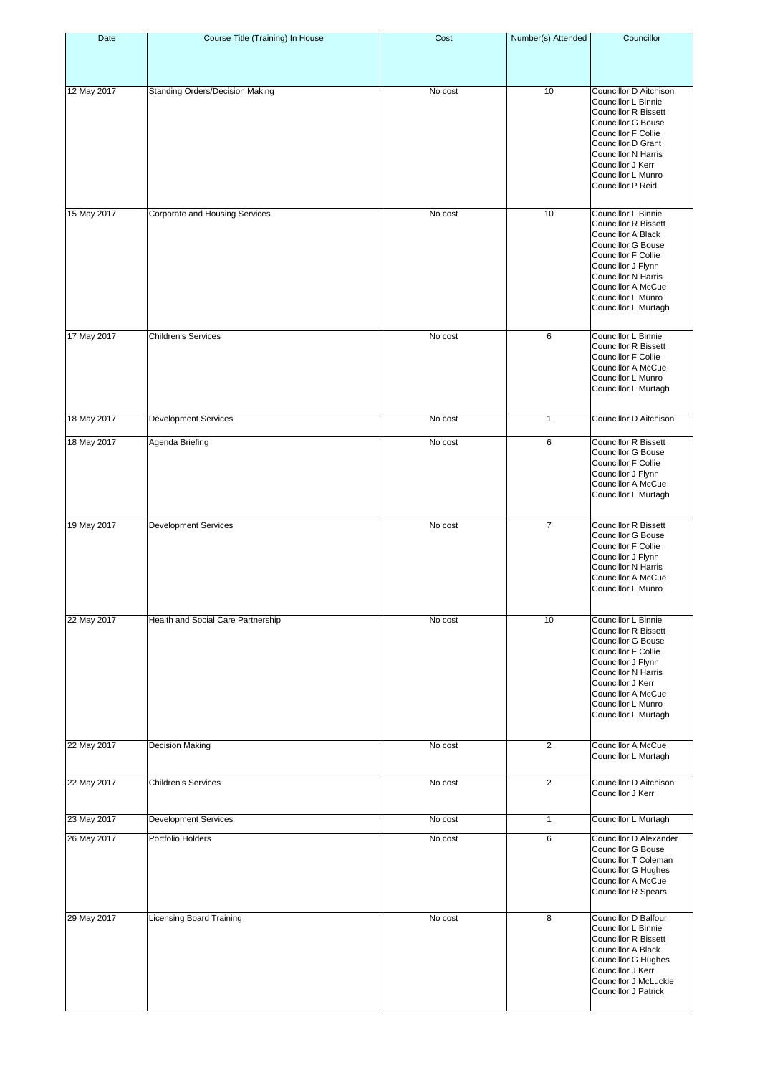| Date        | Course Title (Training) In House       | Cost    | Number(s) Attended | Councillor                                                                                                                                                                                                                                                  |
|-------------|----------------------------------------|---------|--------------------|-------------------------------------------------------------------------------------------------------------------------------------------------------------------------------------------------------------------------------------------------------------|
| 12 May 2017 | <b>Standing Orders/Decision Making</b> | No cost | 10                 | Councillor D Aitchison<br>Councillor L Binnie<br><b>Councillor R Bissett</b><br><b>Councillor G Bouse</b><br>Councillor F Collie<br><b>Councillor D Grant</b><br><b>Councillor N Harris</b><br>Councillor J Kerr<br>Councillor L Munro<br>Councillor P Reid |
| 15 May 2017 | Corporate and Housing Services         | No cost | 10                 | Councillor L Binnie<br><b>Councillor R Bissett</b><br>Councillor A Black<br><b>Councillor G Bouse</b><br>Councillor F Collie<br>Councillor J Flynn<br><b>Councillor N Harris</b><br>Councillor A McCue<br><b>Councillor L Munro</b><br>Councillor L Murtagh |
| 17 May 2017 | <b>Children's Services</b>             | No cost | 6                  | Councillor L Binnie<br><b>Councillor R Bissett</b><br>Councillor F Collie<br>Councillor A McCue<br>Councillor L Munro<br>Councillor L Murtagh                                                                                                               |
| 18 May 2017 | <b>Development Services</b>            | No cost | $\mathbf{1}$       | Councillor D Aitchison                                                                                                                                                                                                                                      |
| 18 May 2017 | Agenda Briefing                        | No cost | 6                  | <b>Councillor R Bissett</b><br><b>Councillor G Bouse</b><br>Councillor F Collie<br>Councillor J Flynn<br>Councillor A McCue<br>Councillor L Murtagh                                                                                                         |
| 19 May 2017 | <b>Development Services</b>            | No cost | $\overline{7}$     | <b>Councillor R Bissett</b><br><b>Councillor G Bouse</b><br>Councillor F Collie<br>Councillor J Flynn<br><b>Councillor N Harris</b><br>Councillor A McCue<br>Councillor L Munro                                                                             |
| 22 May 2017 | Health and Social Care Partnership     | No cost | 10                 | Councillor L Binnie<br><b>Councillor R Bissett</b><br><b>Councillor G Bouse</b><br><b>Councillor F Collie</b><br>Councillor J Flynn<br>Councillor N Harris<br>Councillor J Kerr<br>Councillor A McCue<br>Councillor L Munro<br>Councillor L Murtagh         |
| 22 May 2017 | <b>Decision Making</b>                 | No cost | $\overline{2}$     | Councillor A McCue<br>Councillor L Murtagh                                                                                                                                                                                                                  |
| 22 May 2017 | <b>Children's Services</b>             | No cost | 2                  | Councillor D Aitchison<br>Councillor J Kerr                                                                                                                                                                                                                 |
| 23 May 2017 | <b>Development Services</b>            | No cost | $\mathbf{1}$       | Councillor L Murtagh                                                                                                                                                                                                                                        |
| 26 May 2017 | Portfolio Holders                      | No cost | 6                  | Councillor D Alexander<br>Councillor G Bouse<br>Councillor T Coleman<br><b>Councillor G Hughes</b><br>Councillor A McCue<br>Councillor R Spears                                                                                                             |
| 29 May 2017 | <b>Licensing Board Training</b>        | No cost | 8                  | Councillor D Balfour<br>Councillor L Binnie<br>Councillor R Bissett<br>Councillor A Black<br>Councillor G Hughes<br>Councillor J Kerr<br>Councillor J McLuckie<br><b>Councillor J Patrick</b>                                                               |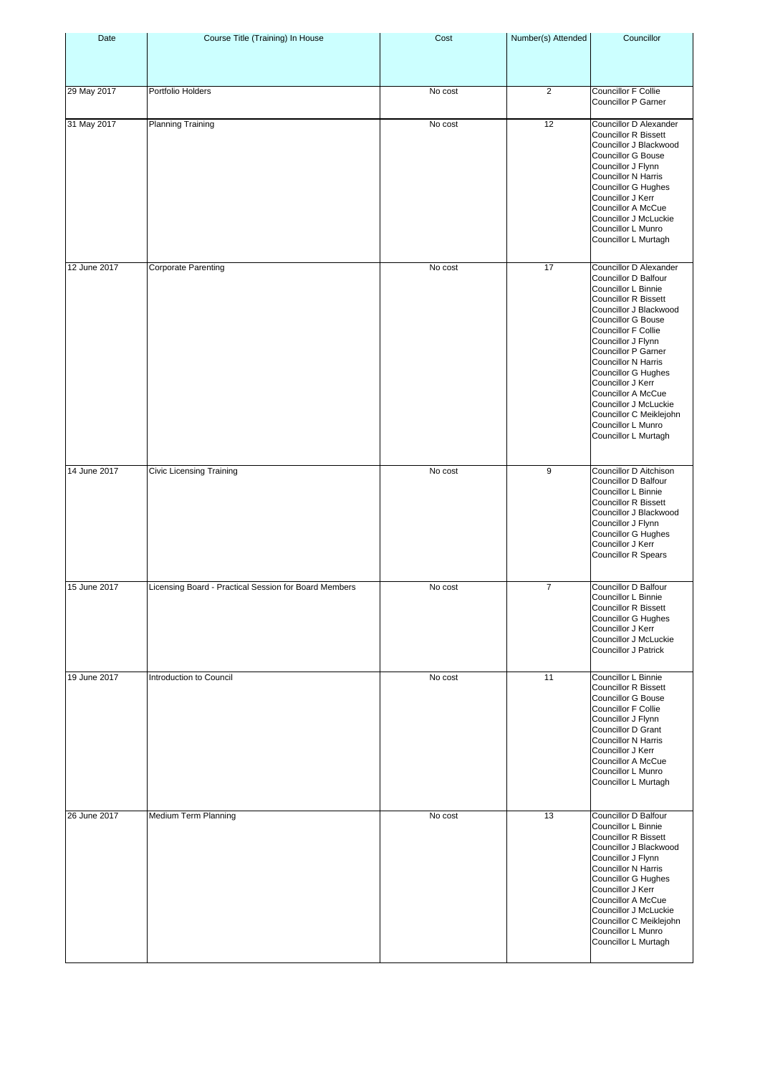| Date         | Course Title (Training) In House                      | Cost    | Number(s) Attended | Councillor                                                                                                                                                                                                                                                                                                                                                                                                                                      |
|--------------|-------------------------------------------------------|---------|--------------------|-------------------------------------------------------------------------------------------------------------------------------------------------------------------------------------------------------------------------------------------------------------------------------------------------------------------------------------------------------------------------------------------------------------------------------------------------|
|              |                                                       |         |                    |                                                                                                                                                                                                                                                                                                                                                                                                                                                 |
| 29 May 2017  | Portfolio Holders                                     | No cost | $\overline{2}$     | Councillor F Collie<br><b>Councillor P Garner</b>                                                                                                                                                                                                                                                                                                                                                                                               |
| 31 May 2017  | <b>Planning Training</b>                              | No cost | 12                 | Councillor D Alexander<br><b>Councillor R Bissett</b><br>Councillor J Blackwood<br><b>Councillor G Bouse</b><br>Councillor J Flynn<br>Councillor N Harris<br>Councillor G Hughes<br>Councillor J Kerr<br>Councillor A McCue<br>Councillor J McLuckie<br>Councillor L Munro<br>Councillor L Murtagh                                                                                                                                              |
| 12 June 2017 | <b>Corporate Parenting</b>                            | No cost | 17                 | Councillor D Alexander<br>Councillor D Balfour<br>Councillor L Binnie<br><b>Councillor R Bissett</b><br>Councillor J Blackwood<br><b>Councillor G Bouse</b><br>Councillor F Collie<br>Councillor J Flynn<br><b>Councillor P Garner</b><br><b>Councillor N Harris</b><br><b>Councillor G Hughes</b><br>Councillor J Kerr<br>Councillor A McCue<br>Councillor J McLuckie<br>Councillor C Meiklejohn<br>Councillor L Munro<br>Councillor L Murtagh |
| 14 June 2017 | Civic Licensing Training                              | No cost | 9                  | Councillor D Aitchison<br>Councillor D Balfour<br>Councillor L Binnie<br><b>Councillor R Bissett</b><br>Councillor J Blackwood<br>Councillor J Flynn<br><b>Councillor G Hughes</b><br>Councillor J Kerr<br>Councillor R Spears                                                                                                                                                                                                                  |
| 15 June 2017 | Licensing Board - Practical Session for Board Members | No cost | 7                  | <b>Councillor D Balfour</b><br>Councillor L Binnie<br><b>Councillor R Bissett</b><br><b>Councillor G Hughes</b><br>Councillor J Kerr<br>Councillor J McLuckie<br><b>Councillor J Patrick</b>                                                                                                                                                                                                                                                    |
| 19 June 2017 | Introduction to Council                               | No cost | 11                 | Councillor L Binnie<br><b>Councillor R Bissett</b><br>Councillor G Bouse<br>Councillor F Collie<br>Councillor J Flynn<br>Councillor D Grant<br><b>Councillor N Harris</b><br>Councillor J Kerr<br><b>Councillor A McCue</b><br>Councillor L Munro<br>Councillor L Murtagh                                                                                                                                                                       |
| 26 June 2017 | Medium Term Planning                                  | No cost | 13                 | Councillor D Balfour<br>Councillor L Binnie<br><b>Councillor R Bissett</b><br>Councillor J Blackwood<br>Councillor J Flynn<br><b>Councillor N Harris</b><br><b>Councillor G Hughes</b><br>Councillor J Kerr<br>Councillor A McCue<br>Councillor J McLuckie<br>Councillor C Meiklejohn<br>Councillor L Munro<br>Councillor L Murtagh                                                                                                             |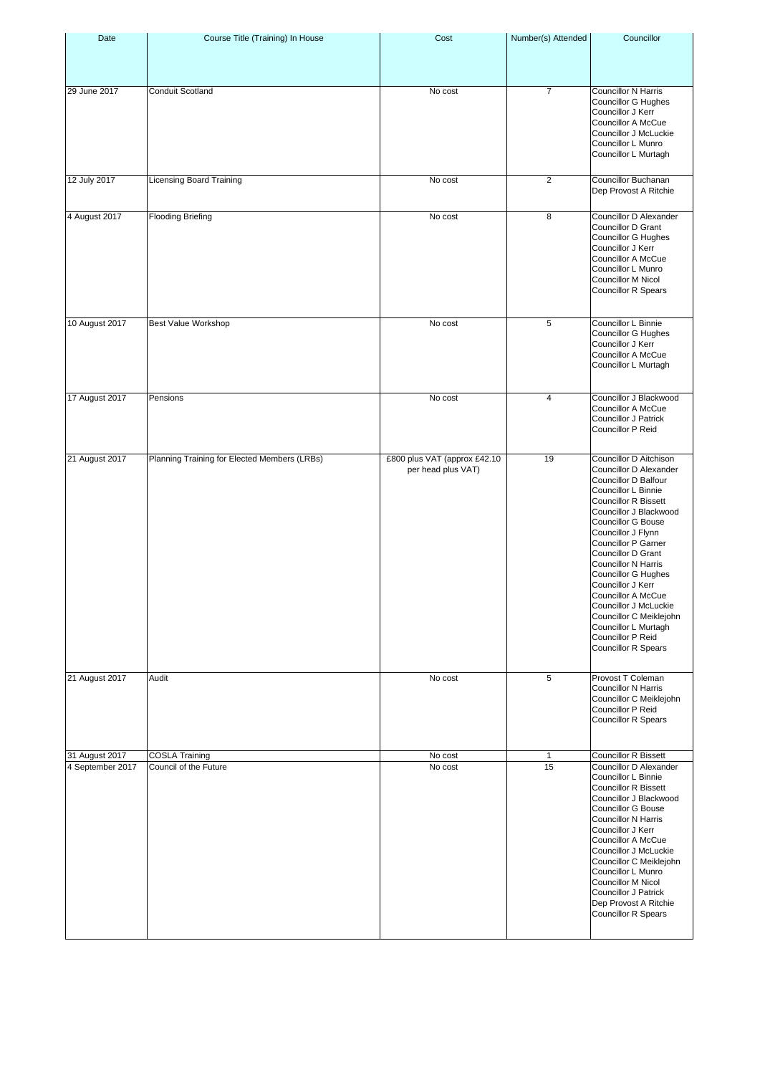| Date                               | Course Title (Training) In House               | Cost                                               | Number(s) Attended | Councillor                                                                                                                                                                                                                                                                                                                                                                                                                                                                                            |
|------------------------------------|------------------------------------------------|----------------------------------------------------|--------------------|-------------------------------------------------------------------------------------------------------------------------------------------------------------------------------------------------------------------------------------------------------------------------------------------------------------------------------------------------------------------------------------------------------------------------------------------------------------------------------------------------------|
| 29 June 2017                       | Conduit Scotland                               | No cost                                            | $\overline{7}$     | <b>Councillor N Harris</b><br><b>Councillor G Hughes</b><br>Councillor J Kerr<br>Councillor A McCue<br>Councillor J McLuckie<br>Councillor L Munro<br>Councillor L Murtagh                                                                                                                                                                                                                                                                                                                            |
| 12 July 2017                       | <b>Licensing Board Training</b>                | No cost                                            | $\overline{2}$     | Councillor Buchanan<br>Dep Provost A Ritchie                                                                                                                                                                                                                                                                                                                                                                                                                                                          |
| 4 August 2017                      | <b>Flooding Briefing</b>                       | No cost                                            | 8                  | Councillor D Alexander<br>Councillor D Grant<br><b>Councillor G Hughes</b><br>Councillor J Kerr<br><b>Councillor A McCue</b><br>Councillor L Munro<br><b>Councillor M Nicol</b><br>Councillor R Spears                                                                                                                                                                                                                                                                                                |
| 10 August 2017                     | <b>Best Value Workshop</b>                     | No cost                                            | 5                  | Councillor L Binnie<br>Councillor G Hughes<br>Councillor J Kerr<br><b>Councillor A McCue</b><br>Councillor L Murtagh                                                                                                                                                                                                                                                                                                                                                                                  |
| 17 August 2017                     | Pensions                                       | No cost                                            | 4                  | Councillor J Blackwood<br>Councillor A McCue<br><b>Councillor J Patrick</b><br>Councillor P Reid                                                                                                                                                                                                                                                                                                                                                                                                      |
| 21 August 2017                     | Planning Training for Elected Members (LRBs)   | £800 plus VAT (approx £42.10<br>per head plus VAT) | 19                 | Councillor D Aitchison<br>Councillor D Alexander<br>Councillor D Balfour<br>Councillor L Binnie<br><b>Councillor R Bissett</b><br>Councillor J Blackwood<br><b>Councillor G Bouse</b><br>Councillor J Flynn<br>Councillor P Garner<br>Councillor D Grant<br><b>Councillor N Harris</b><br><b>Councillor G Hughes</b><br>Councillor J Kerr<br><b>Councillor A McCue</b><br>Councillor J McLuckie<br>Councillor C Meiklejohn<br>Councillor L Murtagh<br>Councillor P Reid<br><b>Councillor R Spears</b> |
| 21 August 2017                     | Audit                                          | No cost                                            | 5                  | Provost T Coleman<br>Councillor N Harris<br>Councillor C Meiklejohn<br>Councillor P Reid<br><b>Councillor R Spears</b>                                                                                                                                                                                                                                                                                                                                                                                |
| 31 August 2017<br>4 September 2017 | <b>COSLA Training</b><br>Council of the Future | No cost<br>No cost                                 | $\mathbf{1}$<br>15 | <b>Councillor R Bissett</b><br>Councillor D Alexander<br>Councillor L Binnie<br><b>Councillor R Bissett</b><br>Councillor J Blackwood<br><b>Councillor G Bouse</b><br><b>Councillor N Harris</b><br>Councillor J Kerr<br>Councillor A McCue<br>Councillor J McLuckie<br>Councillor C Meiklejohn<br>Councillor L Munro<br>Councillor M Nicol<br>Councillor J Patrick<br>Dep Provost A Ritchie<br><b>Councillor R Spears</b>                                                                            |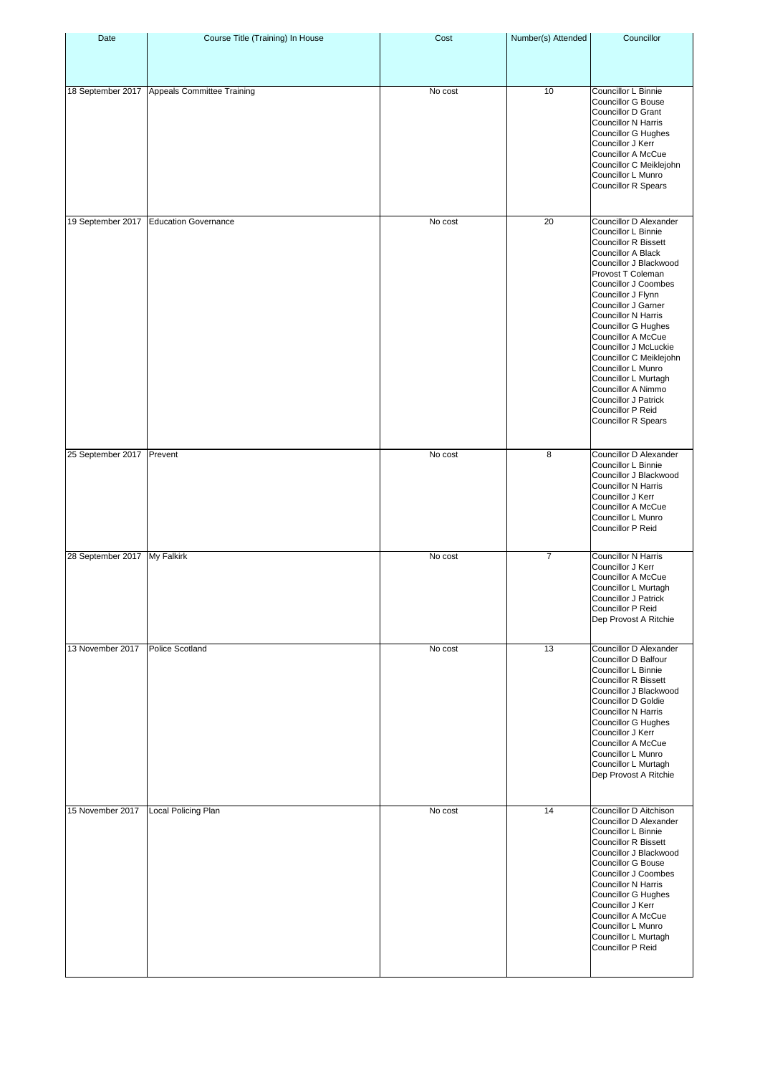| Date                         | Course Title (Training) In House | Cost    | Number(s) Attended | Councillor                                                                                                                                                                                                                                                                                                                                                                                                                                                                                                                |
|------------------------------|----------------------------------|---------|--------------------|---------------------------------------------------------------------------------------------------------------------------------------------------------------------------------------------------------------------------------------------------------------------------------------------------------------------------------------------------------------------------------------------------------------------------------------------------------------------------------------------------------------------------|
|                              |                                  |         |                    |                                                                                                                                                                                                                                                                                                                                                                                                                                                                                                                           |
| 18 September 2017            | Appeals Committee Training       | No cost | 10                 | Councillor L Binnie<br>Councillor G Bouse<br><b>Councillor D Grant</b><br><b>Councillor N Harris</b><br><b>Councillor G Hughes</b><br>Councillor J Kerr<br>Councillor A McCue<br>Councillor C Meiklejohn<br>Councillor L Munro<br><b>Councillor R Spears</b>                                                                                                                                                                                                                                                              |
| 19 September 2017            | <b>Education Governance</b>      | No cost | 20                 | Councillor D Alexander<br>Councillor L Binnie<br><b>Councillor R Bissett</b><br><b>Councillor A Black</b><br>Councillor J Blackwood<br>Provost T Coleman<br>Councillor J Coombes<br>Councillor J Flynn<br>Councillor J Garner<br>Councillor N Harris<br><b>Councillor G Hughes</b><br><b>Councillor A McCue</b><br>Councillor J McLuckie<br>Councillor C Meiklejohn<br>Councillor L Munro<br>Councillor L Murtagh<br>Councillor A Nimmo<br><b>Councillor J Patrick</b><br>Councillor P Reid<br><b>Councillor R Spears</b> |
| 25 September 2017 Prevent    |                                  | No cost | 8                  | Councillor D Alexander<br>Councillor L Binnie<br>Councillor J Blackwood<br><b>Councillor N Harris</b><br>Councillor J Kerr<br><b>Councillor A McCue</b><br>Councillor L Munro<br>Councillor P Reid                                                                                                                                                                                                                                                                                                                        |
| 28 September 2017 My Falkirk |                                  | No cost | $\overline{7}$     | <b>Councillor N Harris</b><br>Councillor J Kerr<br>Councillor A McCue<br>Councillor L Murtagh<br><b>Councillor J Patrick</b><br>Councillor P Reid<br>Dep Provost A Ritchie                                                                                                                                                                                                                                                                                                                                                |
| 13 November 2017             | <b>Police Scotland</b>           | No cost | 13                 | Councillor D Alexander<br>Councillor D Balfour<br>Councillor L Binnie<br><b>Councillor R Bissett</b><br>Councillor J Blackwood<br><b>Councillor D Goldie</b><br><b>Councillor N Harris</b><br><b>Councillor G Hughes</b><br>Councillor J Kerr<br><b>Councillor A McCue</b><br>Councillor L Munro<br>Councillor L Murtagh<br>Dep Provost A Ritchie                                                                                                                                                                         |
| 15 November 2017             | Local Policing Plan              | No cost | 14                 | Councillor D Aitchison<br>Councillor D Alexander<br>Councillor L Binnie<br><b>Councillor R Bissett</b><br>Councillor J Blackwood<br><b>Councillor G Bouse</b><br>Councillor J Coombes<br><b>Councillor N Harris</b><br><b>Councillor G Hughes</b><br>Councillor J Kerr<br>Councillor A McCue<br>Councillor L Munro<br>Councillor L Murtagh<br>Councillor P Reid                                                                                                                                                           |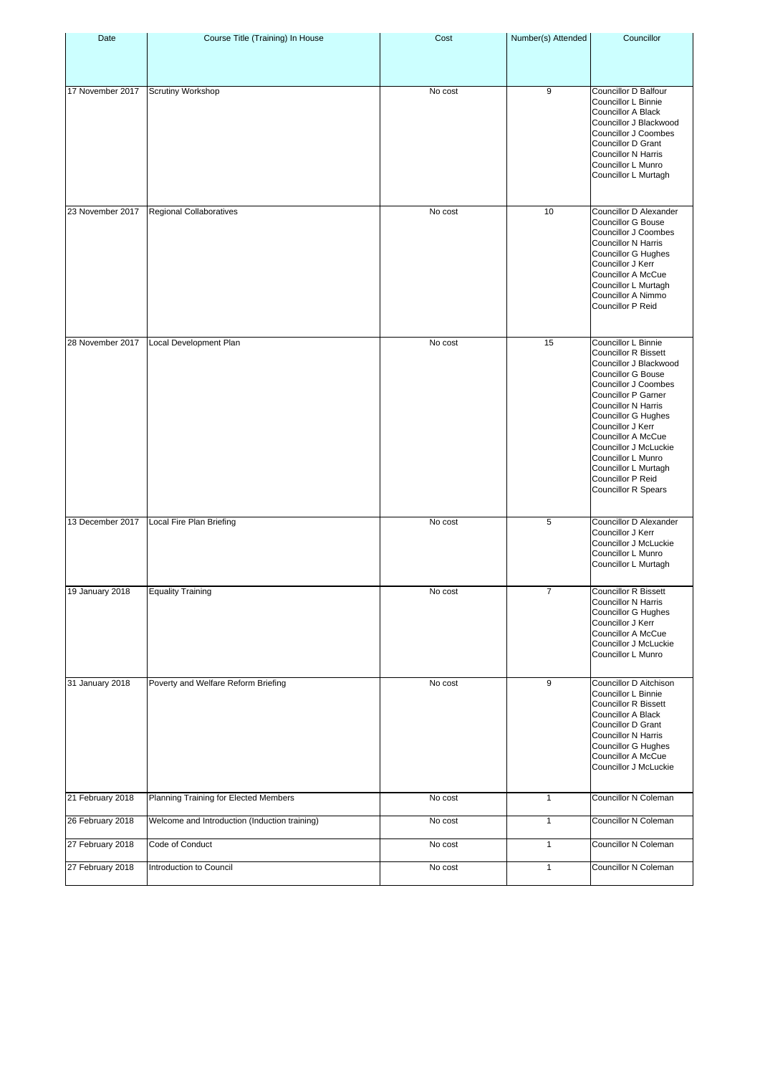| Date             | Course Title (Training) In House              | Cost    | Number(s) Attended | Councillor                                                                                                                                                                                                                                                                                                                                                                                       |
|------------------|-----------------------------------------------|---------|--------------------|--------------------------------------------------------------------------------------------------------------------------------------------------------------------------------------------------------------------------------------------------------------------------------------------------------------------------------------------------------------------------------------------------|
| 17 November 2017 | <b>Scrutiny Workshop</b>                      | No cost | 9                  | Councillor D Balfour<br>Councillor L Binnie<br><b>Councillor A Black</b><br>Councillor J Blackwood<br>Councillor J Coombes<br>Councillor D Grant<br><b>Councillor N Harris</b><br>Councillor L Munro<br>Councillor L Murtagh                                                                                                                                                                     |
| 23 November 2017 | Regional Collaboratives                       | No cost | 10                 | Councillor D Alexander<br><b>Councillor G Bouse</b><br>Councillor J Coombes<br><b>Councillor N Harris</b><br>Councillor G Hughes<br>Councillor J Kerr<br>Councillor A McCue<br>Councillor L Murtagh<br>Councillor A Nimmo<br>Councillor P Reid                                                                                                                                                   |
| 28 November 2017 | Local Development Plan                        | No cost | 15                 | Councillor L Binnie<br><b>Councillor R Bissett</b><br>Councillor J Blackwood<br><b>Councillor G Bouse</b><br>Councillor J Coombes<br><b>Councillor P Garner</b><br><b>Councillor N Harris</b><br>Councillor G Hughes<br>Councillor J Kerr<br><b>Councillor A McCue</b><br>Councillor J McLuckie<br>Councillor L Munro<br>Councillor L Murtagh<br>Councillor P Reid<br><b>Councillor R Spears</b> |
| 13 December 2017 | Local Fire Plan Briefing                      | No cost | 5                  | Councillor D Alexander<br>Councillor J Kerr<br>Councillor J McLuckie<br>Councillor L Munro<br>Councillor L Murtagh                                                                                                                                                                                                                                                                               |
| 19 January 2018  | <b>Equality Training</b>                      | No cost | 7                  | <b>Councillor R Bissett</b><br><b>Councillor N Harris</b><br>Councillor G Hughes<br>Councillor J Kerr<br>Councillor A McCue<br>Councillor J McLuckie<br>Councillor L Munro                                                                                                                                                                                                                       |
| 31 January 2018  | Poverty and Welfare Reform Briefing           | No cost | 9                  | Councillor D Aitchison<br>Councillor L Binnie<br><b>Councillor R Bissett</b><br><b>Councillor A Black</b><br><b>Councillor D Grant</b><br><b>Councillor N Harris</b><br><b>Councillor G Hughes</b><br>Councillor A McCue<br>Councillor J McLuckie                                                                                                                                                |
| 21 February 2018 | Planning Training for Elected Members         | No cost | $\mathbf{1}$       | Councillor N Coleman                                                                                                                                                                                                                                                                                                                                                                             |
| 26 February 2018 | Welcome and Introduction (Induction training) | No cost | $\mathbf{1}$       | Councillor N Coleman                                                                                                                                                                                                                                                                                                                                                                             |
| 27 February 2018 | Code of Conduct                               | No cost | $\mathbf{1}$       | Councillor N Coleman                                                                                                                                                                                                                                                                                                                                                                             |
| 27 February 2018 | Introduction to Council                       | No cost | $\mathbf{1}$       | Councillor N Coleman                                                                                                                                                                                                                                                                                                                                                                             |